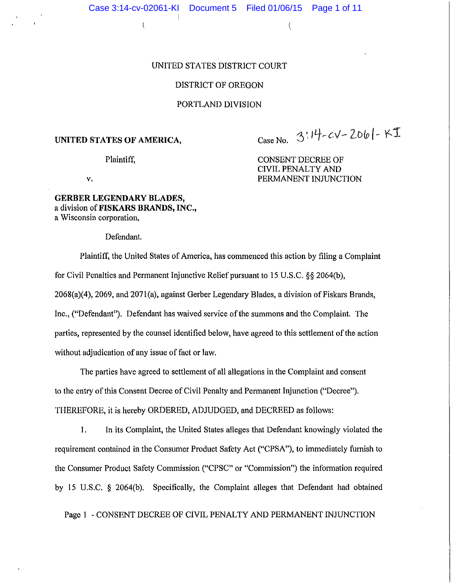$\left(\begin{array}{ccc} 0 & 0 & 0 \\ 0 & 0 & 0 \end{array}\right)$ 

# UNITED STATES DISTRICT COURT

# DISTRICT OF OREGON

#### PORTLAND DIVISION

#### **UNITED STATES OF AMERICA,**

 $Case No. 3!17-cV-2061-KI$ 

Plaintiff,

CONSENT DECREE OF CIVIL PENALTY AND PERMANENT INJUNCTION

v.

## **GERBER LEGENDARY BLADES,**  a division **ofFISKARS BRANDS, INC.,**  a Wisconsin corporation,

Defendant.

Plaintiff, the United States of America, has commenced this action by filing a Complaint for Civil Penalties and Permanent Injunctive Relief pursuant to 15 U.S.C. §§ 2064(b),  $2068(a)(4)$ ,  $2069$ , and  $2071(a)$ , against Gerber Legendary Blades, a division of Fiskars Brands, Inc., ("Defendant"). Defendant has waived service of the summons and the Complaint. The parties, represented by the counsel identified below, have agreed to this settlement of the action without adjudication of any issue of fact or law.

The parties have agreed to settlement of all allegations in the Complaint and consent to the entry of this Consent Decree of Civil Penalty and Permanent Injunction ("Decree"). THEREFORE, it is hereby ORDERED, ADJUDGED, and DECREED as follows:

1. In its Complaint, the United States alleges that Defendant knowingly violated the requirement contained in the Consumer Product Safety Act ("CPSA"), to immediately furnish to the Consumer Product Safety Commission ("CPSC" or "Commission") the information required by 15 U.S.C. § 2064(b). Specifically, the Complaint alleges that Defendant had obtained

Page 1 - CONSENT DECREE OF CIVIL PENALTY AND PERMANENT INJUNCTION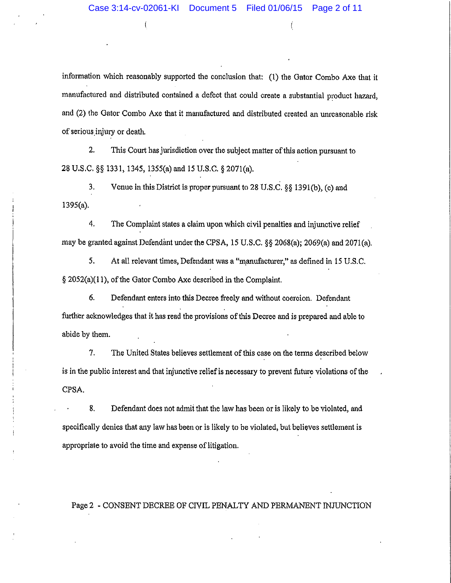$($ 

information which reasonably supported the conclusion that: (!) the Gator Combo Axe that it manufactured and distributed contained a defect that could create a substantial product hazard, and (2) the Gator Combo Axe that it manufactured and distributed created an unreasonable risk of serious.injury or death.

2. This Court has jurisdiction over the subject matter of this action pursuant to 28 U.S.C. §§ 1331, 1345, 1355(a) and 15 U.S.C. § 207l(a).

3. Venue in this District is proper pursuant to 28 U.S.C.  $\S$ § 1391(b), (c) and 1395(a).

4. The Complaint states a claim upon which civil penalties and injunctive relief may be granted against Defendant under the CPSA, 15 U.S.C. §§ 2068(a); 2069(a) and 2071(a).

5. At all relevant times, Defendant was a "manufacturer," as defined in 15 U.S.C. § 2052(a)(l 1), of the Gator Combo Axe described in the Complaint.

6. Defendant enters into this Decree freely and without coercion. Defendant further acknowledges that it has read the provisions of this Decree and is prepared and able to abide by them.

7. The United States believes settlement of this case on the terms described below is in the public interest and that injunctive relief is necessary to prevent future violations of the CPSA.

8. Defendant does not admit that the law has been or is likely to be violated, and specifically denies that any law has been or is likely to be violated, but believes settlement is appropriate to avoid the time and expense of litigation.

# Page 2 - CONSENT DECREE OF CIVIL PENALTY AND PERMANENT INJUNCTION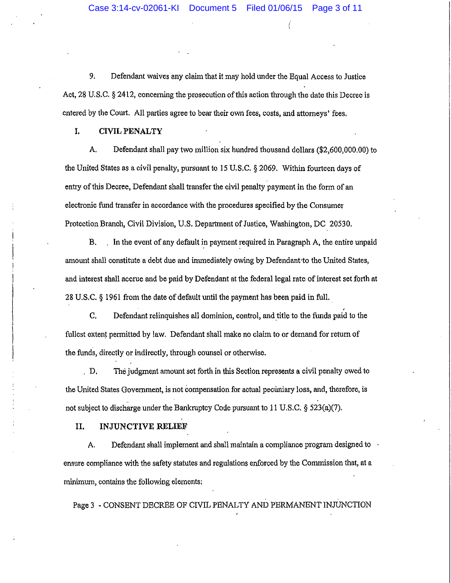(

9. Defendant waives any claim that it may hold under the Equal Access to Justice Act, 28 U.S.C. § 2412, concerning the prosecution of this action through the date this Decree is entered by the Court. All parties agree to bear their own fees, costs, and attorneys' fees.

**I. CIVIL PENALTY** 

A. Defendant shall pay two million six hundred thousand dollars (\$2,600,000.00) to the United States as a civil penalty, pursuant to 15 U.S.C. § 2069. Within fourteen days of entry of this Decree, Defendant shall transfer the civil penalty payment in the form of an electronic fund transfer in accordance with the procedures specified by the Consumer Protection Branch, Civil Division, U.S. Department of Justice, Washington, DC 20530.

B. In the event of any default in payment required in Paragraph A, the entire unpaid amount shall constitute a debt due and immediately owing by Defendant·to the United States, and interest shall accrue and be paid by Defendant at the federal legal rate of interest set forth at 28 U.S.C. § 1961 from the date of default until the payment has been paid in full. .

C. Defendant relinquishes all dominion, control, and title to the funds paid to the fullest extent permitted by law. Defendant shall make no claim to or demand for return of the funds, directly or indirectly, through counsel or otherwise .

. D. The judgment amount set forth in this Section represents a civil penalty owed to the United States Government, is not compensation for actual pecuniary loss, and, therefore, is not subject to discharge under the Bankruptcy Code pursuant to 11 U.S.C. § 523(a)(7).

**II. INJUNCTIVE RELIEF** 

A. Defendant shall implement and shall maintain a compliance program designed to ensure compliance with the safety statutes and regulations enforced by the Commission that, at a minimum, contains the following elements:

Page 3 - CONSENT DECREE OF CIVIL PENALTY AND PERMANENT INJUNCTION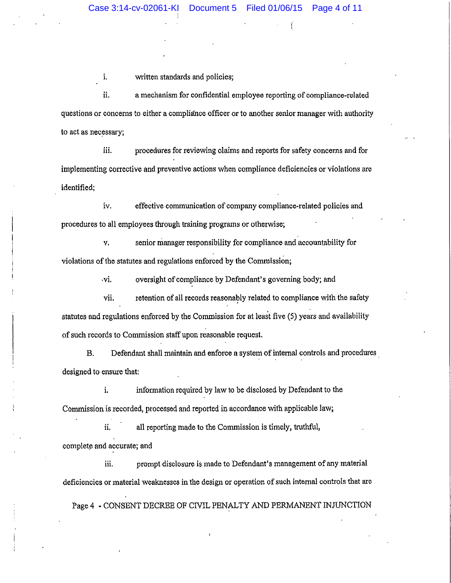$\left($ 

i. written standards and policies;

ii. a mechanism for confidential employee reporting of compliance-related questions or concerns to either a compliance officer or to another senior manager with authority to act as necessary;

iii. procedures for reviewing claims and reports for safety concerns and for implementing corrective and preventive actions when compliance deficiencies or violations are identified;

iv. effective communication of company compliance-related policies and procedures to all employees through training programs or otherwise;

v. senior nianager responsibility for compliance and accountability for violations of the statutes and regulations enforced by the Commission;

vi. oversight of compliance by Defendant's governing body; and

vii. retention of all records reasonably related to compliance with the safety statutes and regulations enforced by the Commission for at least five (5) years and availability of such records to Commission staff upon reasonable request.

B. Defendant shall maintain and enforce a system of internal controls and procedures designed to ensure that:

i. information required by law to be disclosed by Defendant to the Commission is recorded, processed and reported in accordance with applicable law;

ii. all reporting made to the Commission is timely, truthful, complete and accurate; and

iii. prompt disclosure is made to Defendant's management of any material deficiencies or material weaknesses in the design or operation of such internal controls that are

Page 4 - CONSENT DECREE OF CIVIL PENALTY AND PERMANENT INJUNCTION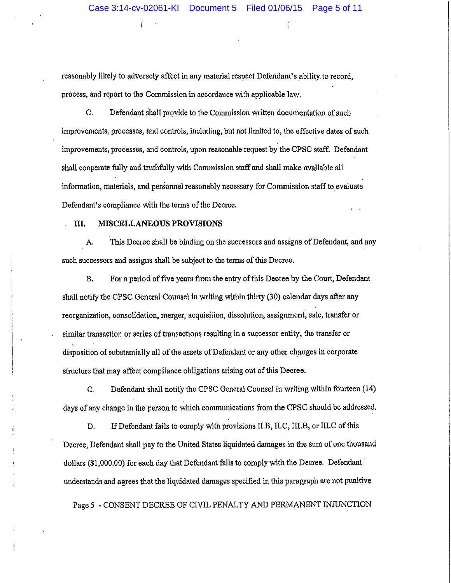reasonably likely to adversely affect in any material respect Defendant's ability. to record, process, and report to the Commission in accordance with applicable law.

C. Defendant shall provide to the Commission written documentation of such improvements, processes, and controls, including, but not limited to, the effective dates of such improvements, processes, and controls, upon reasonable request by the CPSC staff. Defendant shall cooperate fully and truthfully with Commission staff and shall make available all information, materials, and personnel reasonably necessary for Commission staff to evaluate Defendant's compliance with the terms of the Decree.

## **III. MISCELLANEOUS PROVISIONS**

(

A. This Decree shall be binding on the successors and assigns of Defendant, and any such successors and assigns shall be subject to the terms of this Decree.

B. For a period of five years from the entry of this Decree by the Court, Defendant shall notify the CPSC General Counsel in writing within thirty (30) calendar days after any reorganization, consolidation, merger, acquisition, dissolution, assignment, sale, transfer or similar transaction or series of transactions resulting in a successor entity, the transfer or disposition of substantially all of the assets of Defendant or any other changes in corporate structure that may affect compliance obligations arising out of this Decree.

C. Defendant shall notify the CPSC.General Counsel in writing within fourteen (14) days of any change in the person to which communications from the CPSC should be addressed.

D. If Defendant fails to comply with provisions II.B, II.C, III.B, or III.C of this Decree, Defendant shall pay to the United States liquidated damages in the sum of one thousand dollars (\$1,000.00) for each day that Defendant fails to comply with the Decree. Defendant· understands and agrees that the liquidated damages specified in this paragraph are not punitive

Page *5* - CONSENT DECREE OF CIVIL PENALTY AND PERMANENT INJUNCTION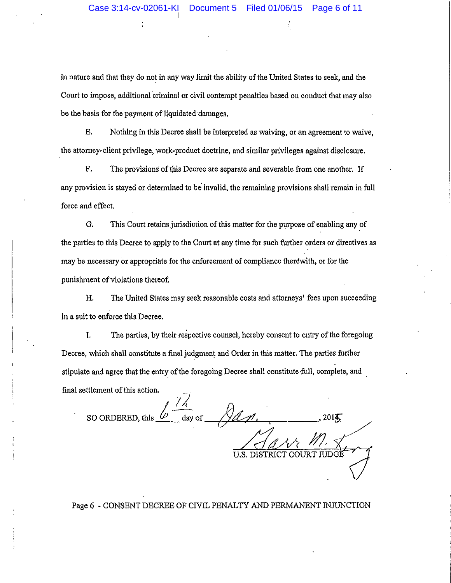$\overline{1}$ 

in nature and that they do not in any way limit the ability of the United States to seek, and the Court to impose, additional criminal or civil contempt penalties based on conduct that may also be the basis for the payment of liquidated damages.

E. Nothing in this Decree shall be interpreted as waiving, or an agreement to waive, the attorney-client privilege, work-product doctrine, and. similar privileges against disclosure.

F. The provisions of this Decree are separate and severable from one another. If any provision is stayed or determined to be' invalid, the remaining provisions shall remain in full force and effect.

G. This Court retains jurisdiction of this matter for the purpose of enabling any of the parties to this Decree to apply to the Court at any time for such further orders or directives as may be necessary or appropriate for the enforcement of compliance therewith, or for the punishment of violations thereof.

H. The United States may seek reasonable costs and attorneys' fees upon succeeding in a suit to enforce this Decree.

I. The parties, by their respective counsel, hereby consent to entry of the foregoing Decree, which shall constitute a final judgment and Order in this matter. The parties further stipulate and agree that the entry of the foregoing Decree shall constitute full, complete, and final settlement of this action.

*!)*  SO ORDERED, this  $\frac{b-a}{a}$  of  $\frac{a}{a}$  . , 2015 U.S. Haw M.

Page 6 - CONSENT DECREE OF CIVIL PENALTY AND PERMANENT INJUNCTION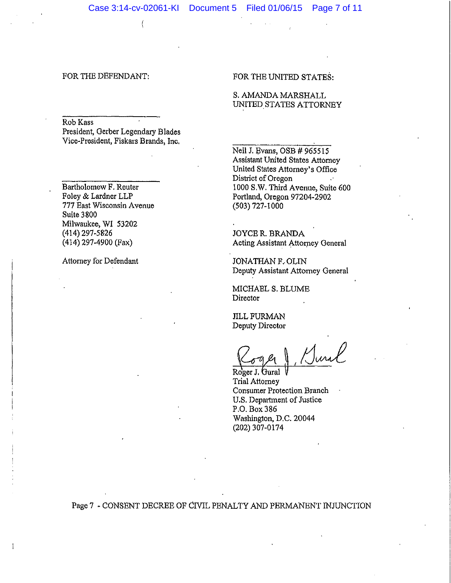Rob Kass President, Gerber Legendary Blades Vice-President, Fiskars Brands, Inc.

(

Bartholomew F. Reuter Foley & Lardner LLP 777 East Wisconsin Avenue Suite 3800 Milwaukee, WI 53202 (414) 297-5826 (414) 297-4900 (Fax)

Attorney for Defendant

 $\mathbf{1}$ 

FOR THE UNITED STATES:

S. AMANDA MARSHALL UNITED STATES ATTORNEY

Neil J, Evans, OSB # 965515 Assistant United States Attorney United States Attorney's Office District of Oregon 1000 S.W. Third Avenue, Suite 600 Portland, Oregon 97204-2902 (503) 727-1000

JOYCE R. BRANDA Acting Assistant Attorney General

JONATHAN F. OLIN Deputy Assistant Attorney General

MICHAEL S. BLUME Director

JILL FURMAN Deputy Director

 $\frac{C_{\sigma q} \ell q}{\text{Roger J. Gural}}$ , Jura

Trial Attorney Consumer Protection Branch U.S. Department of Justice P.0.Box386 Washington, D.C. 20044 (202) 307-0174

Page 7 - CONSENT DECREE OF CIVIL PENALTY AND PERMANENT INJUNCTION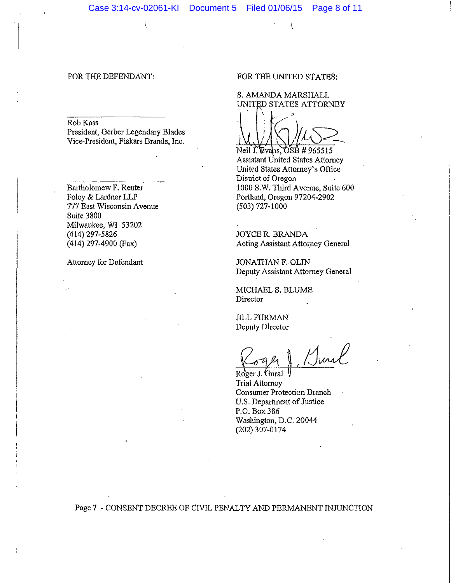Rob Kass

President, Gerber Legendary Blades Vice-President, Fiskars Brands, Inc.

Bartholomew F. Reuter Foley & Lardner LLP 777 East Wisconsin Avenue Suite 3800 Milwaukee, WI 53202 (414) 297-5826 (414) 297-4900 (Fax)

Attorney for Defendant

FOR THE UNITED STATES:

 $\langle$ 

S. AMANDA MARSHALL UNITED STATES ATTORNEY

 $\big\}$ 

 $N$ eil J. Evans,  $OSB$  # 965515 Assistant United States Attorney United States Attorney's Office District of Oregon 1000 S.W. Third Avenue, Suite 600 Portland, Oregon 97204-2902 (503) 727-1000

JOYCE R. BRANDA Acting Assistant Attorney General

JONATHAN F. OLIN Deputy Assistant Attorney General

MICHAEL S. BLUME Director

**IILL FURMAN** Deputy Director

Roger J. Junal

Trial Attorney Consumer Protection Branch U.S. Department of Justice P.0.Box386 Washington, D.C. 20044 (202) 307-0174

Page 7 - CONSENT DECREE OF CIVIL PENALTY AND PERMANENT INJUNCTION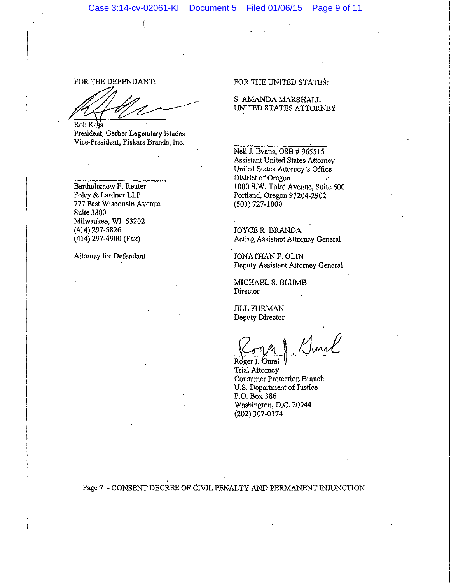Rob Ka

(

President, Gerber Legendary Blades Vice-President, Fiskars Brands, Inc.

Bartholomew F. Reuter Foley & Lardner LLP 777 East Wisconsin A venue Suite 3800 Milwaukee, W1 53202 (414) 297-5826 (414) 297-4900 (Fax)

Attorney for Defendant

ł

FOR THE UNITED STATES:

S. AMANDA MARSHALL UNITED STATES ATTORNEY

Neil J. Evans, OSB # 965515 Assistant United States Attorney United States Attorney's Office District of Oregon 1000 S.W. Third Avenue, Suite 600 Portland, Oregon 97204-2902  $(503) 727 - 1000$ 

JOYCE R. BRANDA Acting Assistant Attorney General

JONATHAN F. OLIN Deputy Assistant Attorney General

MICHAELS. BLUME Director

**JILL FURMAN** Deputy Director

Roger J. Gural Trial Attorney Consumer Protection Branch U.S. Department of Justice P.O. Box386 Washington, D.C. 20044 (202) 307-0174

Page 7 • CONSENT DECREE OF CIVIL PENAL TY AND PERMANENT INJUNCTION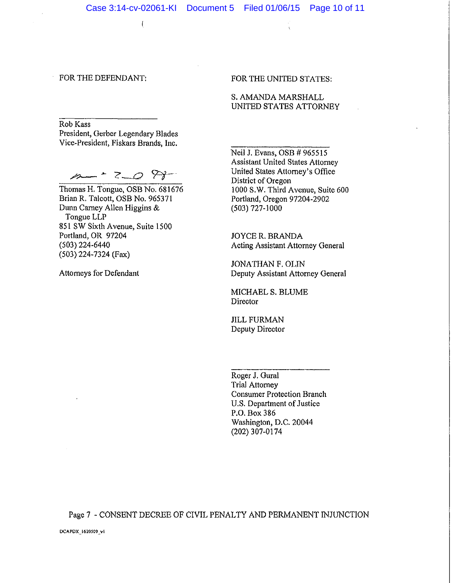Rob Kass President, Gerber Legendary Blades Vice-President, Fiskars Brands, Inc.

(

 $/10 - 2 - 0$   $?$ 

Thomas H. Tongue, OSB No. 681676 Brian R. Talcott, OSB No. 965371 Dunn Carney Allen Higgins & Tongue LLP 851 SW Sixth Avenue, Suite 1500 Portland, OR 97204 (503) 224-6440 (503) 224-7324 (Fax)

Attorneys for Defendant

### FOR THE UNITED STATES:

S. AMANDA MARSHALL UNITED STATES ATTORNEY

Neil J. Evans, OSB # 965515 Assistant United States Attorney United States Attorney's Office District of Oregon 1000 S.W. Third Avenue, Suite 600 Portland, Oregon 97204-2902 (503) 727-1000

JOYCE R. BRANDA Acting Assistant Attorney General

JONATHAN F. OLIN Deputy Assistant Attorney General

MICHAELS. BLUME **Director** 

JILL FURMAN Deputy Director

Roger J. Gural Trial Attorney Consumer Protection Branch U.S. Department of Justice P.O. Box 386 Washington, D.C. 20044 (202) 307-0174

Page 7 - CONSENT DECREE OF CIVIL PENALTY AND PERMANENT INJUNCTION